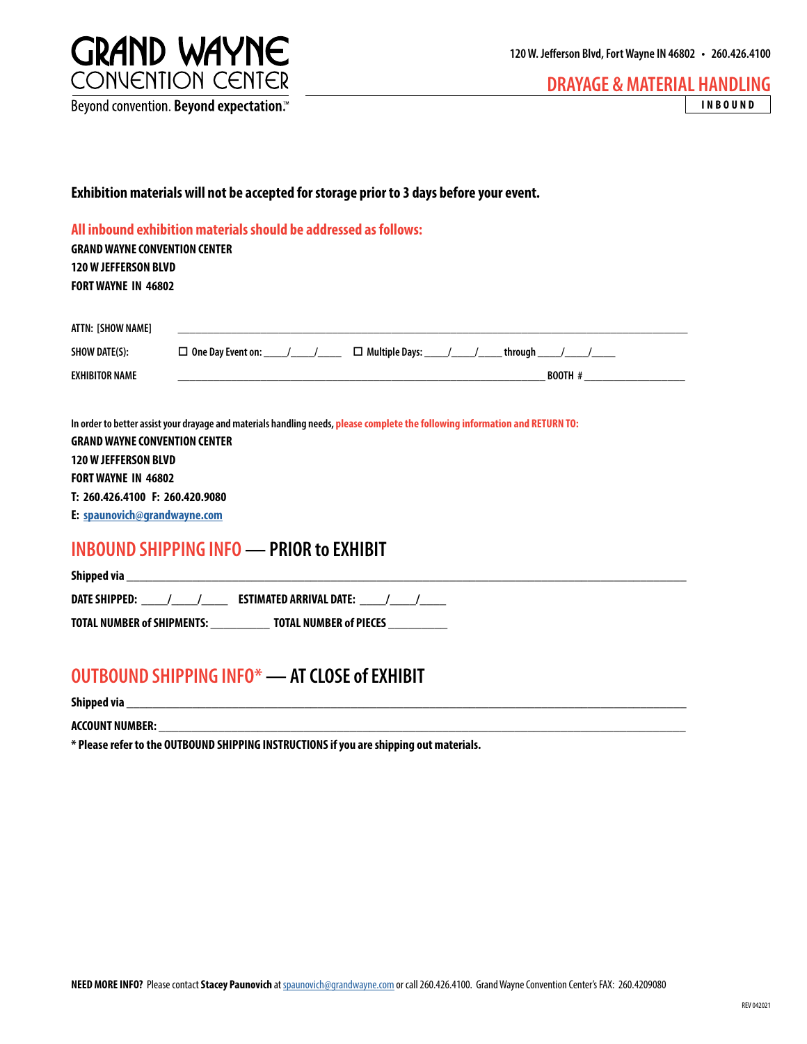

**DRAYAGE & MATERIAL HANDLING INBOUND**

#### **Exhibition materials will not be accepted for storage prior to 3 days before your event.**

#### **All inbound exhibition materials should be addressed as follows:**

**GRAND WAYNE CONVENTION CENTER 120 W JEFFERSON BLVD FORT WAYNE IN 46802**

| ATTN: [SHOW NAME]     |                                                              |
|-----------------------|--------------------------------------------------------------|
| SHOW DATE(S):         | $\Box$ One Day Event on:<br>$\Box$ Multiple Days:<br>through |
| <b>EXHIBITOR NAME</b> | <b>BOOTH #</b>                                               |

**In order to better assist your drayage and materials handling needs, please complete the following information and RETURN TO: GRAND WAYNE CONVENTION CENTER 120 W JEFFERSON BLVD FORT WAYNE IN 46802 T: 260.426.4100 F: 260.420.9080**

**E: [spaunovich@grandwayne.com](mailto:spaunovich%40grandwayne.com?subject=)**

# **INBOUND SHIPPING INFO — PRIOR to EXHIBIT**

| Shipped via                       |                                |
|-----------------------------------|--------------------------------|
| DATE SHIPPED:                     | <b>ESTIMATED ARRIVAL DATE:</b> |
| <b>TOTAL NUMBER of SHIPMENTS:</b> | <b>TOTAL NUMBER of PIECES</b>  |

## **OUTBOUND SHIPPING INFO\* — AT CLOSE of EXHIBIT**

**Shipped via \_\_\_\_\_\_\_\_\_\_\_\_\_\_\_\_\_\_\_\_\_\_\_\_\_\_\_\_\_\_\_\_\_\_\_\_\_\_\_\_\_\_\_\_\_\_\_\_\_\_\_\_\_\_\_\_\_\_\_\_\_\_\_\_\_\_\_\_\_\_\_\_\_\_\_\_\_\_\_\_\_\_\_\_\_**

**ACCOUNT NUMBER:** 

**\* Please refer to the OUTBOUND SHIPPING INSTRUCTIONS if you are shipping out materials.**